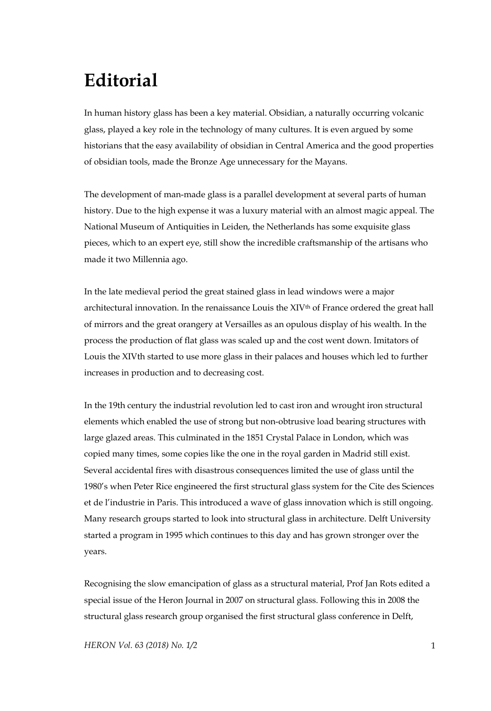## **Editorial**

In human history glass has been a key material. Obsidian, a naturally occurring volcanic glass, played a key role in the technology of many cultures. It is even argued by some historians that the easy availability of obsidian in Central America and the good properties of obsidian tools, made the Bronze Age unnecessary for the Mayans.

The development of man-made glass is a parallel development at several parts of human history. Due to the high expense it was a luxury material with an almost magic appeal. The National Museum of Antiquities in Leiden, the Netherlands has some exquisite glass pieces, which to an expert eye, still show the incredible craftsmanship of the artisans who made it two Millennia ago.

In the late medieval period the great stained glass in lead windows were a major architectural innovation. In the renaissance Louis the XIV<sup>th</sup> of France ordered the great hall of mirrors and the great orangery at Versailles as an opulous display of his wealth. In the process the production of flat glass was scaled up and the cost went down. Imitators of Louis the XIVth started to use more glass in their palaces and houses which led to further increases in production and to decreasing cost.

In the 19th century the industrial revolution led to cast iron and wrought iron structural elements which enabled the use of strong but non-obtrusive load bearing structures with large glazed areas. This culminated in the 1851 Crystal Palace in London, which was copied many times, some copies like the one in the royal garden in Madrid still exist. Several accidental fires with disastrous consequences limited the use of glass until the 1980's when Peter Rice engineered the first structural glass system for the Cite des Sciences et de l'industrie in Paris. This introduced a wave of glass innovation which is still ongoing. Many research groups started to look into structural glass in architecture. Delft University started a program in 1995 which continues to this day and has grown stronger over the years.

Recognising the slow emancipation of glass as a structural material, Prof Jan Rots edited a special issue of the Heron Journal in 2007 on structural glass. Following this in 2008 the structural glass research group organised the first structural glass conference in Delft,